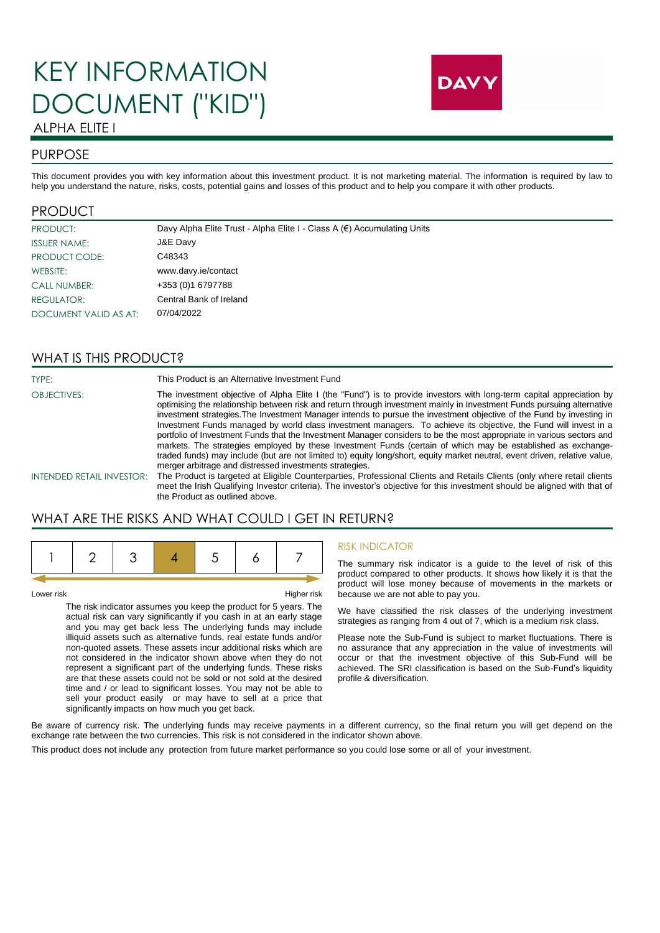# KEY INFORMATION DOCUMENT ("KID")



# ALPHA ELITE I

## PURPOSE

This document provides you with key information about this investment product. It is not marketing material. The information is required by law to help you understand the nature, risks, costs, potential gains and losses of this product and to help you compare it with other products.

#### PRODUCT

| PRODUCT:              | Davy Alpha Elite Trust - Alpha Elite I - Class A (€) Accumulating Units |
|-----------------------|-------------------------------------------------------------------------|
| <b>ISSUER NAME:</b>   | J&E Davy                                                                |
| PRODUCT CODE:         | C48343                                                                  |
| WEBSITE:              | www.davy.ie/contact                                                     |
| <b>CALL NUMBER:</b>   | +353 (0)1 6797788                                                       |
| <b>REGULATOR:</b>     | Central Bank of Ireland                                                 |
| DOCUMENT VALID AS AT: | 07/04/2022                                                              |

### WHAT IS THIS PRODUCT?

TYPE: TYPE: This Product is an Alternative Investment Fund

OBJECTIVES: The investment objective of Alpha Elite I (the "Fund") is to provide investors with long-term capital appreciation by optimising the relationship between risk and return through investment mainly in Investment Funds pursuing alternative investment strategies.The Investment Manager intends to pursue the investment objective of the Fund by investing in Investment Funds managed by world class investment managers. To achieve its objective, the Fund will invest in a portfolio of Investment Funds that the Investment Manager considers to be the most appropriate in various sectors and markets. The strategies employed by these Investment Funds (certain of which may be established as exchangetraded funds) may include (but are not limited to) equity long/short, equity market neutral, event driven, relative value, merger arbitrage and distressed investments strategies.

INTENDED RETAIL INVESTOR: The Product is targeted at Eligible Counterparties, Professional Clients and Retails Clients (only where retail clients meet the Irish Qualifying Investor criteria). The investor's objective for this investment should be aligned with that of the Product as outlined above.

## WHAT ARE THE RISKS AND WHAT COULD I GET IN RETURN?



Lower risk Higher risk

The risk indicator assumes you keep the product for 5 years. The actual risk can vary significantly if you cash in at an early stage and you may get back less The underlying funds may include illiquid assets such as alternative funds, real estate funds and/or non-quoted assets. These assets incur additional risks which are not considered in the indicator shown above when they do not represent a significant part of the underlying funds. These risks are that these assets could not be sold or not sold at the desired time and / or lead to significant losses. You may not be able to sell your product easily or may have to sell at a price that significantly impacts on how much you get back.

#### RISK INDICATOR

The summary risk indicator is a guide to the level of risk of this product compared to other products. It shows how likely it is that the product will lose money because of movements in the markets or because we are not able to pay you.

We have classified the risk classes of the underlying investment strategies as ranging from 4 out of 7, which is a medium risk class.

Please note the Sub-Fund is subject to market fluctuations. There is no assurance that any appreciation in the value of investments will occur or that the investment objective of this Sub-Fund will be achieved. The SRI classification is based on the Sub-Fund's liquidity profile & diversification.

Be aware of currency risk. The underlying funds may receive payments in a different currency, so the final return you will get depend on the exchange rate between the two currencies. This risk is not considered in the indicator shown above.

This product does not include any protection from future market performance so you could lose some or all of your investment.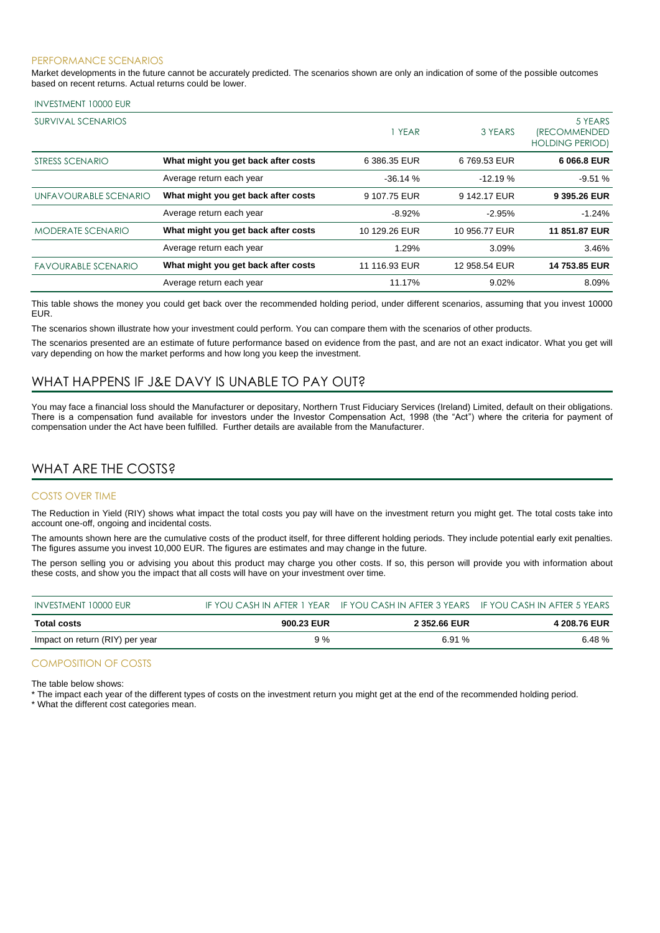#### PERFORMANCE SCENARIOS

Market developments in the future cannot be accurately predicted. The scenarios shown are only an indication of some of the possible outcomes based on recent returns. Actual returns could be lower.

#### INVESTMENT 10000 EUR

| SURVIVAL SCENARIOS         |                                     | 1 YEAR        | 3 YEARS       | 5 YEARS<br><i><b>IRECOMMENDED</b></i><br><b>HOLDING PERIOD)</b> |
|----------------------------|-------------------------------------|---------------|---------------|-----------------------------------------------------------------|
| STRESS SCENARIO            | What might you get back after costs | 6 386.35 EUR  | 6 769.53 EUR  | 6 066.8 EUR                                                     |
|                            | Average return each year            | $-36.14%$     | $-12.19%$     | $-9.51%$                                                        |
| UNFAVOURABLE SCENARIO      | What might you get back after costs | 9 107.75 EUR  | 9 142.17 EUR  | 9 395.26 EUR                                                    |
|                            | Average return each year            | $-8.92%$      | $-2.95%$      | $-1.24%$                                                        |
| <b>MODERATE SCENARIO</b>   | What might you get back after costs | 10 129.26 EUR | 10 956.77 EUR | 11 851.87 EUR                                                   |
|                            | Average return each year            | 1.29%         | 3.09%         | 3.46%                                                           |
| <b>FAVOURABLE SCENARIO</b> | What might you get back after costs | 11 116.93 EUR | 12 958.54 EUR | 14 753.85 EUR                                                   |
|                            | Average return each year            | 11.17%        | 9.02%         | 8.09%                                                           |

This table shows the money you could get back over the recommended holding period, under different scenarios, assuming that you invest 10000 EUR.

The scenarios shown illustrate how your investment could perform. You can compare them with the scenarios of other products.

The scenarios presented are an estimate of future performance based on evidence from the past, and are not an exact indicator. What you get will vary depending on how the market performs and how long you keep the investment.

## WHAT HAPPENS IF J&E DAVY IS UNABLE TO PAY OUT?

You may face a financial loss should the Manufacturer or depositary, Northern Trust Fiduciary Services (Ireland) Limited, default on their obligations. There is a compensation fund available for investors under the Investor Compensation Act, 1998 (the "Act") where the criteria for payment of compensation under the Act have been fulfilled. Further details are available from the Manufacturer.

## WHAT ARE THE COSTS?

#### COSTS OVER TIME

The Reduction in Yield (RIY) shows what impact the total costs you pay will have on the investment return you might get. The total costs take into account one-off, ongoing and incidental costs.

The amounts shown here are the cumulative costs of the product itself, for three different holding periods. They include potential early exit penalties. The figures assume you invest 10,000 EUR. The figures are estimates and may change in the future.

The person selling you or advising you about this product may charge you other costs. If so, this person will provide you with information about these costs, and show you the impact that all costs will have on your investment over time.

| INVESTMENT 10000 EUR            |            | IF YOU CASH IN AFTER 1 YEAR IF YOU CASH IN AFTER 3 YEARS IF YOU CASH IN AFTER 5 YEARS |                     |
|---------------------------------|------------|---------------------------------------------------------------------------------------|---------------------|
| Total costs                     | 900.23 EUR | 2 352.66 EUR                                                                          | <b>4 208.76 EUR</b> |
| Impact on return (RIY) per year | 9%         | 6.91%                                                                                 | 6.48%               |

#### COMPOSITION OF COSTS

The table below shows:

\* The impact each year of the different types of costs on the investment return you might get at the end of the recommended holding period.

\* What the different cost categories mean.